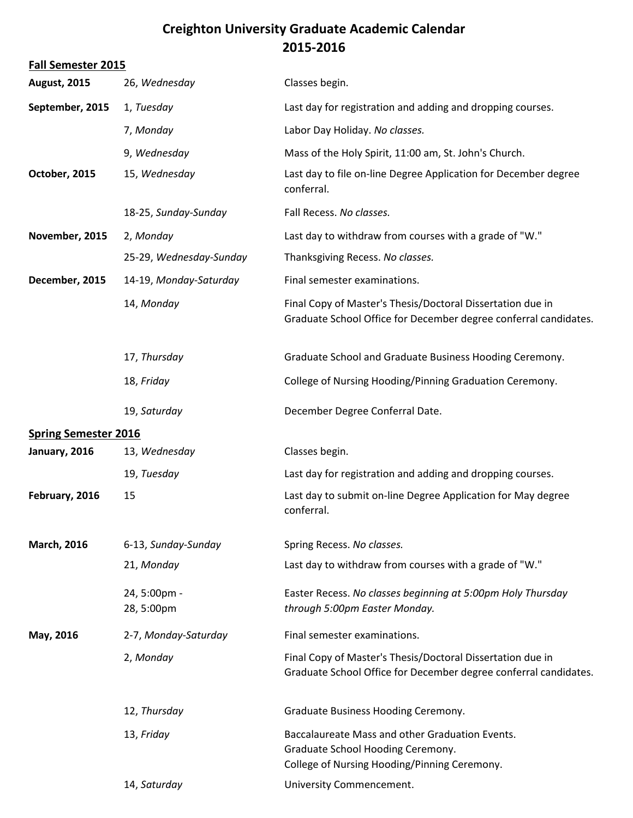## **Creighton University Graduate Academic Calendar 2015-2016**

| <b>Fall Semester 2015</b>   |                            |                                                                                                                                      |  |  |
|-----------------------------|----------------------------|--------------------------------------------------------------------------------------------------------------------------------------|--|--|
| <b>August, 2015</b>         | 26, Wednesday              | Classes begin.                                                                                                                       |  |  |
| September, 2015             | 1, Tuesday                 | Last day for registration and adding and dropping courses.                                                                           |  |  |
|                             | 7, Monday                  | Labor Day Holiday. No classes.                                                                                                       |  |  |
|                             | 9, Wednesday               | Mass of the Holy Spirit, 11:00 am, St. John's Church.                                                                                |  |  |
| October, 2015               | 15, Wednesday              | Last day to file on-line Degree Application for December degree<br>conferral.                                                        |  |  |
|                             | 18-25, Sunday-Sunday       | Fall Recess. No classes.                                                                                                             |  |  |
| November, 2015              | 2, Monday                  | Last day to withdraw from courses with a grade of "W."                                                                               |  |  |
|                             | 25-29, Wednesday-Sunday    | Thanksgiving Recess. No classes.                                                                                                     |  |  |
| December, 2015              | 14-19, Monday-Saturday     | Final semester examinations.                                                                                                         |  |  |
|                             | 14, Monday                 | Final Copy of Master's Thesis/Doctoral Dissertation due in<br>Graduate School Office for December degree conferral candidates.       |  |  |
|                             | 17, Thursday               | Graduate School and Graduate Business Hooding Ceremony.                                                                              |  |  |
|                             | 18, Friday                 | College of Nursing Hooding/Pinning Graduation Ceremony.                                                                              |  |  |
|                             | 19, Saturday               | December Degree Conferral Date.                                                                                                      |  |  |
| <b>Spring Semester 2016</b> |                            |                                                                                                                                      |  |  |
| January, 2016               | 13, Wednesday              | Classes begin.                                                                                                                       |  |  |
|                             | 19, Tuesday                | Last day for registration and adding and dropping courses.                                                                           |  |  |
| February, 2016              | 15                         | Last day to submit on-line Degree Application for May degree<br>conferral.                                                           |  |  |
| <b>March, 2016</b>          | 6-13, Sunday-Sunday        | Spring Recess. No classes.                                                                                                           |  |  |
|                             | 21, Monday                 | Last day to withdraw from courses with a grade of "W."                                                                               |  |  |
|                             | 24, 5:00pm -<br>28, 5:00pm | Easter Recess. No classes beginning at 5:00pm Holy Thursday<br>through 5:00pm Easter Monday.                                         |  |  |
| May, 2016                   | 2-7, Monday-Saturday       | Final semester examinations.                                                                                                         |  |  |
|                             | 2, Monday                  | Final Copy of Master's Thesis/Doctoral Dissertation due in<br>Graduate School Office for December degree conferral candidates.       |  |  |
|                             | 12, Thursday               | Graduate Business Hooding Ceremony.                                                                                                  |  |  |
|                             | 13, Friday                 | Baccalaureate Mass and other Graduation Events.<br>Graduate School Hooding Ceremony.<br>College of Nursing Hooding/Pinning Ceremony. |  |  |
|                             | 14, Saturday               | University Commencement.                                                                                                             |  |  |